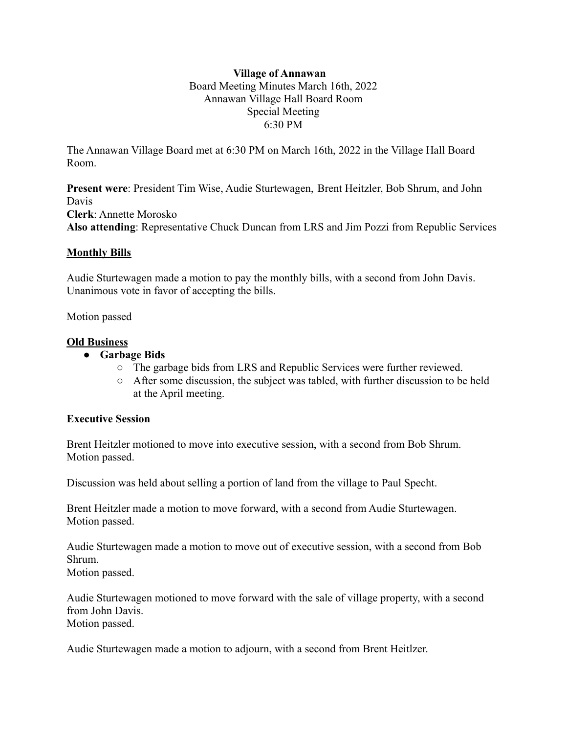## **Village of Annawan** Board Meeting Minutes March 16th, 2022 Annawan Village Hall Board Room Special Meeting 6:30 PM

The Annawan Village Board met at 6:30 PM on March 16th, 2022 in the Village Hall Board Room.

**Present were**: President Tim Wise, Audie Sturtewagen, Brent Heitzler, Bob Shrum, and John Davis **Clerk**: Annette Morosko **Also attending**: Representative Chuck Duncan from LRS and Jim Pozzi from Republic Services

## **Monthly Bills**

Audie Sturtewagen made a motion to pay the monthly bills, with a second from John Davis. Unanimous vote in favor of accepting the bills.

Motion passed

## **Old Business**

- **● Garbage Bids**
	- The garbage bids from LRS and Republic Services were further reviewed.
	- After some discussion, the subject was tabled, with further discussion to be held at the April meeting.

## **Executive Session**

Brent Heitzler motioned to move into executive session, with a second from Bob Shrum. Motion passed.

Discussion was held about selling a portion of land from the village to Paul Specht.

Brent Heitzler made a motion to move forward, with a second from Audie Sturtewagen. Motion passed.

Audie Sturtewagen made a motion to move out of executive session, with a second from Bob Shrum.

Motion passed.

Audie Sturtewagen motioned to move forward with the sale of village property, with a second from John Davis. Motion passed.

Audie Sturtewagen made a motion to adjourn, with a second from Brent Heitlzer.